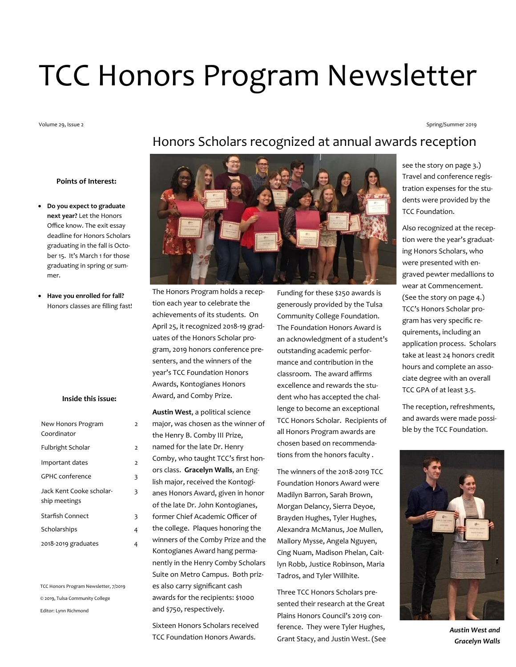# TCC Honors Program Newsletter

Volume 29, Issue 2

Spring/Summer 2019

#### **Points of Interest:**

- **Do you expect to graduate next year?** Let the Honors Office know. The exit essay deadline for Honors Scholars graduating in the fall is October 15. It's March 1 for those graduating in spring or summer.
- **Have you enrolled for fall?**  Honors classes are filling fast!

## **Inside this issue:**

2

3

| New Honors Program<br>Coordinator         | $\overline{2}$ |
|-------------------------------------------|----------------|
| Fulbright Scholar                         | $\overline{a}$ |
| Important dates                           | $\overline{a}$ |
| GPHC conference                           | 3              |
| Jack Kent Cooke scholar-<br>ship meetings | 3              |
| <b>Starfish Connect</b>                   | 3              |
| Scholarships                              | 4              |
| 2018-2019 graduates                       | 4              |

TCC Honors Program Newsletter, 7/2019 © 2019, Tulsa Community College Editor: Lynn Richmond

# Honors Scholars recognized at annual awards reception



The Honors Program holds a reception each year to celebrate the achievements of its students. On April 25, it recognized 2018-19 graduates of the Honors Scholar program, 2019 honors conference presenters, and the winners of the year's TCC Foundation Honors Awards, Kontogianes Honors Award, and Comby Prize.

**Austin West**, a political science major, was chosen as the winner of the Henry B. Comby III Prize, named for the late Dr. Henry Comby, who taught TCC's first honors class. **Gracelyn Walls**, an English major, received the Kontogianes Honors Award, given in honor of the late Dr. John Kontogianes, former Chief Academic Officer of the college. Plaques honoring the winners of the Comby Prize and the Kontogianes Award hang permanently in the Henry Comby Scholars Suite on Metro Campus. Both prizes also carry significant cash awards for the recipients: \$1000 and \$750, respectively.

Sixteen Honors Scholars received TCC Foundation Honors Awards.

Funding for these \$250 awards is generously provided by the Tulsa Community College Foundation. The Foundation Honors Award is an acknowledgment of a student's outstanding academic performance and contribution in the classroom. The award affirms excellence and rewards the student who has accepted the challenge to become an exceptional TCC Honors Scholar. Recipients of all Honors Program awards are chosen based on recommendations from the honors faculty .

The winners of the 2018-2019 TCC Foundation Honors Award were Madilyn Barron, Sarah Brown, Morgan Delancy, Sierra Deyoe, Brayden Hughes, Tyler Hughes, Alexandra McManus, Joe Mullen, Mallory Mysse, Angela Nguyen, Cing Nuam, Madison Phelan, Caitlyn Robb, Justice Robinson, Maria Tadros, and Tyler Willhite.

Three TCC Honors Scholars presented their research at the Great Plains Honors Council's 2019 conference. They were Tyler Hughes, Grant Stacy, and Justin West. (See see the story on page 3.) Travel and conference registration expenses for the students were provided by the TCC Foundation.

Also recognized at the reception were the year's graduating Honors Scholars, who were presented with engraved pewter medallions to wear at Commencement. (See the story on page 4.) TCC's Honors Scholar program has very specific requirements, including an application process. Scholars take at least 24 honors credit hours and complete an associate degree with an overall TCC GPA of at least 3.5.

The reception, refreshments, and awards were made possible by the TCC Foundation.



*Austin West and Gracelyn Walls*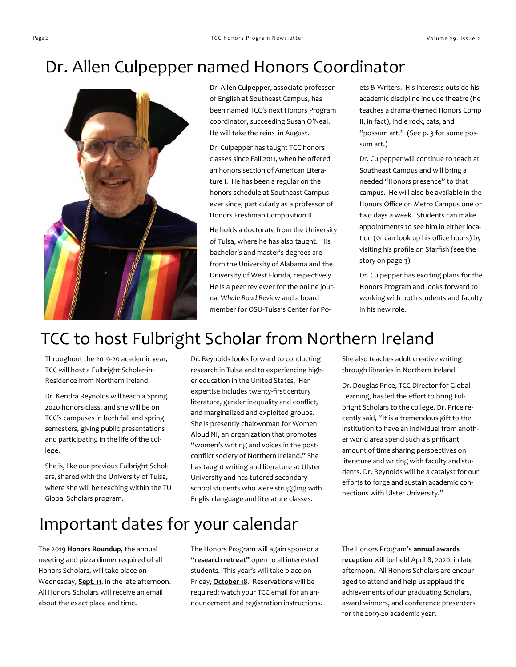# Dr. Allen Culpepper named Honors Coordinator



Dr. Allen Culpepper, associate professor of English at Southeast Campus, has been named TCC's next Honors Program coordinator, succeeding Susan O'Neal. He will take the reins in August.

Dr. Culpepper has taught TCC honors classes since Fall 2011, when he offered an honors section of American Literature I. He has been a regular on the honors schedule at Southeast Campus ever since, particularly as a professor of Honors Freshman Composition II

He holds a doctorate from the University of Tulsa, where he has also taught. His bachelor's and master's degrees are from the University of Alabama and the University of West Florida, respectively. He is a peer reviewer for the online journal *Whale Road Review* and a board member for OSU-Tulsa's Center for Poets & Writers. His interests outside his academic discipline include theatre (he teaches a drama-themed Honors Comp II, in fact), indie rock, cats, and "possum art." (See p. 3 for some possum art.)

Dr. Culpepper will continue to teach at Southeast Campus and will bring a needed "Honors presence" to that campus. He will also be available in the Honors Office on Metro Campus one or two days a week. Students can make appointments to see him in either location (0r can look up his office hours) by visiting his profile on Starfish (see the story on page 3).

Dr. Culpepper has exciting plans for the Honors Program and looks forward to working with both students and faculty in his new role.

# TCC to host Fulbright Scholar from Northern Ireland

Throughout the 2019-20 academic year, TCC will host a Fulbright Scholar-in-Residence from Northern Ireland.

Dr. Kendra Reynolds will teach a Spring 2020 honors class, and she will be on TCC's campuses in both fall and spring semesters, giving public presentations and participating in the life of the college.

She is, like our previous Fulbright Scholars, shared with the University of Tulsa, where she will be teaching within the TU Global Scholars program.

Dr. Reynolds looks forward to conducting research in Tulsa and to experiencing higher education in the United States. Her expertise includes twenty-first century literature, gender inequality and conflict, and marginalized and exploited groups. She is presently chairwoman for Women Aloud NI, an organization that promotes "women's writing and voices in the postconflict society of Northern Ireland." She has taught writing and literature at Ulster University and has tutored secondary school students who were struggling with English language and literature classes.

She also teaches adult creative writing through libraries in Northern Ireland.

Dr. Douglas Price, TCC Director for Global Learning, has led the effort to bring Fulbright Scholars to the college. Dr. Price recently said, "It is a tremendous gift to the institution to have an individual from another world area spend such a significant amount of time sharing perspectives on literature and writing with faculty and students. Dr. Reynolds will be a catalyst for our efforts to forge and sustain academic connections with Ulster University."

## Important dates for your calendar

The 2019 **Honors Roundup**, the annual meeting and pizza dinner required of all Honors Scholars, will take place on Wednesday, **Sept. 11**, in the late afternoon. All Honors Scholars will receive an email about the exact place and time.

The Honors Program will again sponsor a **"research retreat"** open to all interested students. This year's will take place on Friday, **October 18**. Reservations will be required; watch your TCC email for an announcement and registration instructions. The Honors Program's **annual awards reception** will be held April 8, 2020, in late afternoon. All Honors Scholars are encouraged to attend and help us applaud the achievements of our graduating Scholars, award winners, and conference presenters for the 2019-20 academic year.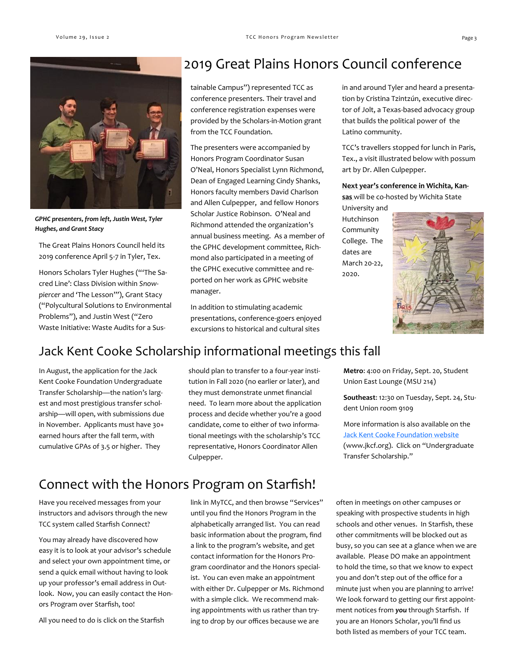

*GPHC presenters, from left, Justin West, Tyler Hughes, and Grant Stacy*

The Great Plains Honors Council held its 2019 conference April 5-7 in Tyler, Tex.

Honors Scholars Tyler Hughes ("'The Sacred Line': Class Division within *Snowpiercer* and 'The Lesson'"), Grant Stacy ("Polycultural Solutions to Environmental Problems"), and Justin West ("Zero Waste Initiative: Waste Audits for a Sus-

## 2019 Great Plains Honors Council conference

tainable Campus") represented TCC as conference presenters. Their travel and conference registration expenses were provided by the Scholars-in-Motion grant from the TCC Foundation.

The presenters were accompanied by Honors Program Coordinator Susan O'Neal, Honors Specialist Lynn Richmond, Dean of Engaged Learning Cindy Shanks, Honors faculty members David Charlson and Allen Culpepper, and fellow Honors Scholar Justice Robinson. O'Neal and Richmond attended the organization's annual business meeting. As a member of the GPHC development committee, Richmond also participated in a meeting of the GPHC executive committee and reported on her work as GPHC website manager.

In addition to stimulating academic presentations, conference-goers enjoyed excursions to historical and cultural sites

in and around Tyler and heard a presentation by Cristina Tzintzún, executive director of Jolt, a Texas-based advocacy group that builds the political power of the Latino community.

TCC's travellers stopped for lunch in Paris, Tex., a visit illustrated below with possum art by Dr. Allen Culpepper.

#### **Next year's conference in Wichita, Kan-**

**sas** will be co-hosted by Wichita State University and

Hutchinson Community College. The dates are March 20-22, 2020.



## Jack Kent Cooke Scholarship informational meetings this fall

In August, the application for the Jack Kent Cooke Foundation Undergraduate Transfer Scholarship—the nation's largest and most prestigious transfer scholarship—will open, with submissions due in November. Applicants must have 30+ earned hours after the fall term, with cumulative GPAs of 3.5 or higher. They

should plan to transfer to a four-year institution in Fall 2020 (no earlier or later), and they must demonstrate unmet financial need. To learn more about the application process and decide whether you're a good candidate, come to either of two informational meetings with the scholarship's TCC representative, Honors Coordinator Allen Culpepper.

**Metro**: 4:00 on Friday, Sept. 20, Student Union East Lounge (MSU 214)

**Southeast**: 12:30 on Tuesday, Sept. 24, Student Union room 9109

More information is also available on the **[Jack Kent Cooke Foundation website](http://www.jkcf.org)** (www.jkcf.org). Click on "Undergraduate Transfer Scholarship."

## Connect with the Honors Program on Starfish!

Have you received messages from your instructors and advisors through the new TCC system called Starfish Connect?

You may already have discovered how easy it is to look at your advisor's schedule and select your own appointment time, or send a quick email without having to look up your professor's email address in Outlook. Now, you can easily contact the Honors Program over Starfish, too!

All you need to do is click on the Starfish

link in MyTCC, and then browse "Services" until you find the Honors Program in the alphabetically arranged list. You can read basic information about the program, find a link to the program's website, and get contact information for the Honors Program coordinator and the Honors specialist. You can even make an appointment with either Dr. Culpepper or Ms. Richmond with a simple click. We recommend making appointments with us rather than trying to drop by our offices because we are

often in meetings on other campuses or speaking with prospective students in high schools and other venues. In Starfish, these other commitments will be blocked out as busy, so you can see at a glance when we are available. Please DO make an appointment to hold the time, so that we know to expect you and don't step out of the office for a minute just when you are planning to arrive! We look forward to getting our first appointment notices from *you* through Starfish. If you are an Honors Scholar, you'll find us both listed as members of your TCC team.